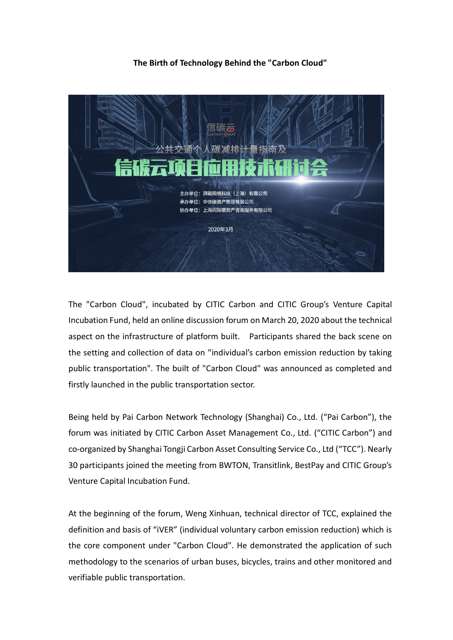## **The Birth of Technology Behind the "Carbon Cloud"**



The "Carbon Cloud", incubated by CITIC Carbon and CITIC Group's Venture Capital Incubation Fund, held an online discussion forum on March 20, 2020 about the technical aspect on the infrastructure of platform built. Participants shared the back scene on the setting and collection of data on "individual's carbon emission reduction by taking public transportation". The built of "Carbon Cloud" was announced as completed and firstly launched in the public transportation sector.

Being held by Pai Carbon Network Technology (Shanghai) Co., Ltd. ("Pai Carbon"), the forum was initiated by CITIC Carbon Asset Management Co., Ltd. ("CITIC Carbon") and co-organized by Shanghai Tongji Carbon Asset Consulting Service Co., Ltd ("TCC"). Nearly 30 participants joined the meeting from BWTON, Transitlink, BestPay and CITIC Group's Venture Capital Incubation Fund.

At the beginning of the forum, Weng Xinhuan, technical director of TCC, explained the definition and basis of "iVER" (individual voluntary carbon emission reduction) which is the core component under "Carbon Cloud". He demonstrated the application of such methodology to the scenarios of urban buses, bicycles, trains and other monitored and verifiable public transportation.